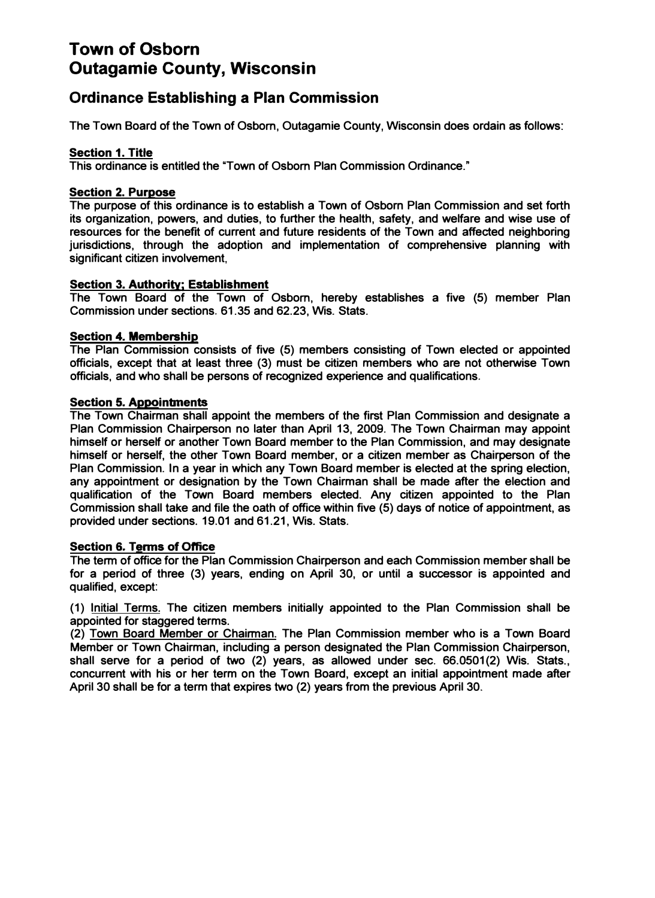# **Town of Osborn Outagamie County, Wisconsin**

## **Ordinance Establishing a Plan Commission**

**The Town Board of the Town of Osborn, Outagamie County, Wisconsin does ordain as follows:** 

#### **Section 1. Title**

**This ordinance is entitled the "Town of Osborn Plan Commission Ordinance."** 

#### **Section 2. Purpose**

**The purpose of this ordinance is to establish a Town of Osborn Plan Commission and set forth its organization, powers, and duties, to further the health, safety, and welfare and wise use of resources for the benefit of current and future residents of the Town and affected neighboring jurisdictions, through the adoption and implementation of comprehensive planning with significant citizen involvement,** 

#### **Section 3. Authority; Establishment**

**The Town Board of the Town of Osborn, hereby establishes a five (5) member Plan Commission under sections. 61.35 and 62.23, Wis. Stats.** 

#### **Section 4. Membership**

**The Plan Commission consists of five (5) members consisting of Town elected or appointed officials, except that at least three (3) must be citizen members who are not otherwise Town officials, and who shall be persons of recognized experience and qualifications.** 

#### **Section 5. Appointments**

**The Town Chairman shall appoint the members of the first Plan Commission and designate a Plan Commission Chairperson no later than April 13, 2009. The Town Chairman may appoint himself or herself or another Town Board member to the Plan Commission, and may designate himself or herself, the other Town Board member, or a citizen member as Chairperson of the Plan Commission. In a year in which any Town Board member is elected at the spring election, any appointment or designation by the Town Chairman shall be made after the election and qualification of the Town Board members elected. Any citizen appointed to the Plan Commission shall take and file the oath of office within five (5) days of notice of appointment, as provided under sections. 19.01 and 61.21, Wis. Stats.** 

#### **Section 6. Terms of Office**

**The term of office for the Plan Commission Chairperson and each Commission member shall be for a period of three (3) years, ending on April 30, or until a successor is appointed and qualified, except:** 

**(1) Initial Terms. The citizen members initially appointed to the Plan Commission shall be appointed for staggered terms.**

**(2) Town Board Member or Chairman. The Plan Commission member who is a Town Board Member or Town Chairman, including a person designated the Plan Commission Chairperson, shall serve for a period of two (2) years, as allowed under sec. 66.0501(2) Wis. Stats., concurrent with his or her term on the Town Board, except an initial appointment made after April 30 shall be for a term that expires two (2) years from the previous April 30.**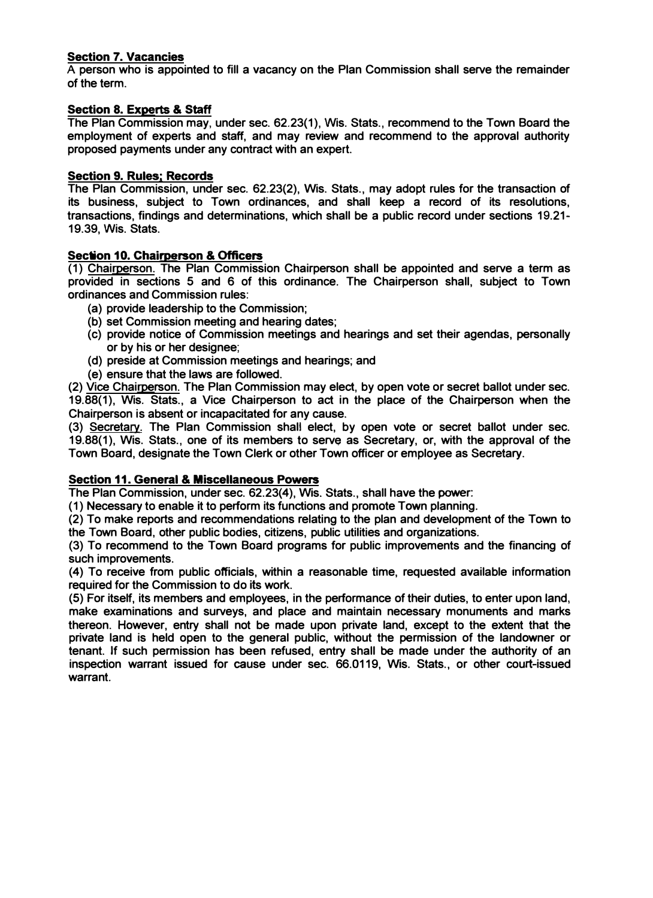## **Section 7. Vacancies**

**A person who is appointed to fill a vacancy on the Plan Commission shall serve the remainder of the term.**

## **Section 8. Experts & Staff**

The Plan Commission may, under sec. 62.23(1), Wis. Stats., recommend to the Town Board the **employment of experts and staff, and may review and recommend to the approval authority proposed payments under any contract with an expert.** 

### **Section 9. Rules; Records**

**The Plan Commission, under sec. 62.23(2), Wis. Stats., may adopt rules for the transaction of its business, subject to Town ordinances, and shall keep a record of its resolutions, transactions, findings and determinations, which shall be a public record under sections 19.21- 19.39, Wis. Stats.** 

## **Section 10. Chairperson & Officers**

**(1) Chairperson. The Plan Commission Chairperson shall be appointed and serve a term as provided in sections 5 and 6 of this ordinance. The Chairperson shall, subject to Town ordinances and Commission rules:**

- **(a) provide leadership to the Commission;**
- **(b) set Commission meeting and hearing dates;**
- **(c) provide notice of Commission meetings and hearings and set their agendas, personally or by his or her designee;**
- **(d) preside at Commission meetings and hearings; and**
- **(e) ensure that the laws are followed.**

**(2) Vice Chairperson. The Plan Commission may elect, by open vote or secret ballot under sec. 19.88(1), Wis. Stats., a Vice Chairperson to act in the place of the Chairperson when the Chairperson is absent or incapacitated for any cause.**

**(3) Secretary. The Plan Commission shall elect, by open vote or secret ballot under sec. 19.88(1), Wis. Stats., one of its members to serve as Secretary, or, with the approval of the Town Board, designate the Town Clerk or other Town officer or employee as Secretary.**

## **Section 11. General & Miscellaneous Powers**

**The Plan Commission, under sec. 62.23(4), Wis. Stats., shall have the power:** 

**(1) Necessary to enable it to perform its functions and promote Town planning.**

**(2) To make reports and recommendations relating to the plan and development of the Town to the Town Board, other public bodies, citizens, public utilities and organizations.**

**(3) To recommend to the Town Board programs for public improvements and the financing of such improvements.**

**(4) To receive from public officials, within a reasonable time, requested available information required for the Commission to do its work.**

**(5) For itself, its members and employees, in the performance of their duties, to enter upon land, make examinations and surveys, and place and maintain necessary monuments and marks thereon. However, entry shall not be made upon private land, except to the extent that the private land is held open to the general public, without the permission of the landowner or tenant. If such permission has been refused, entry shall be made under the authority of an inspection warrant issued for cause under sec. 66.0119, Wis. Stats., or other court-issued warrant.**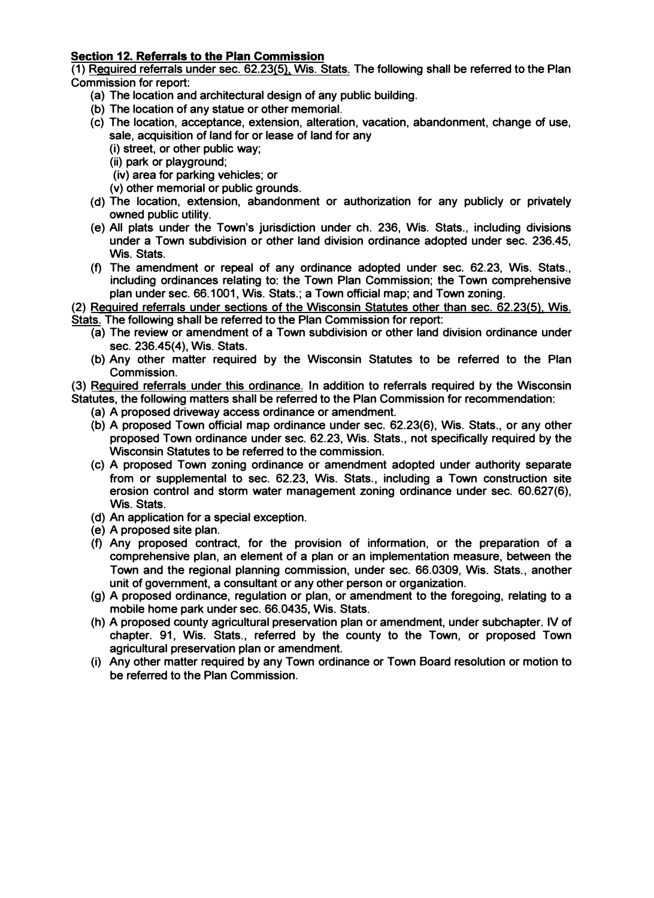## **Section 12. Referrals to the Plan Commission**

**(1) Required referrals under sec: 62.23(5), Wis. Stats. The following shall be referred to the Plan Commission for report:**

- **(a) The location and architectural design of any public building.**
- **(b) The location of any statue or other memorial.**
- **(c) The location, acceptance, extension, alteration, vacation, abandonment, change of use, sale, acquisition of land for or lease of land for any**
	- **(i) street, or other public way;**
	- **(ii) park or playground;**
	- **(iv) area for parking vehicles; or**
	- **(v) other memorial or public grounds.**
- **(d) The location, extension, abandonment or authorization for any publicly or privately owned public utility.**
- **(e) All plats under the Town's jurisdiction under ch. 236, Wis. Stats., including divisions under a Town subdivision or other land division ordinance adopted under sec. 236.45, Wis. Stats.**
- **(f) The amendment or repeal of any ordinance adopted under sec. 62.23, Wis. Stats., including ordinances relating to: the Town Plan Commission; the Town comprehensive plan under sec. 66.1001, Wis. Stats.; a Town official map; and Town zoning.**
- **(2) Required referrals under sections of the Wisconsin Statutes other than sec. 62.23(5), Wis.**
- **Stats. The following shall be referred to the Plan Commission for report:**
	- **(a) The review or amendment of a Town subdivision or other land division ordinance under sec. 236.45(4), Wis. Stats.**
	- **(b} Any other matter required by the Wisconsin Statutes to be referred to the Plan Commission.**
- **(3) Required referrals under this ordinance. In addition to referrals required by the Wisconsin Statutes, the following matters shall be referred to the Plan Commission for recommendation:**
	- **(a) A proposed driveway access ordinance or amendment.**
	- **{b) A proposed Town official map ordinance under sec. 62.23(6), Wis. Stats., or any other proposed Town ordinance under sec. 62.23, Wis. Stats., not specifically required by the Wisconsin Statutes to be referred to the commission.**
	- **(c) A proposed Town zoning ordinance or amendment adopted under authority separate from or supplemental to sec. 62.23, Wis. Stats., including a Town construction site erosion control and storm water management zoning ordinance under sec. 60.627(6), Wis. Stats.**
	- **(d) An application for a special exception.**
	- **(e) A proposed site plan.**
	- **(f) Any proposed contract, for the provision of information, or the preparation of a comprehensive plan, an element of a plan or an implementation measure, between the Town and the regional planning commission, under sec. 66.0309, Wis. Stats., another unit of government, a consultant or any other person or organization.**
	- **(g) A proposed ordinance, regulation or plan, or amendment to the foregoing, relating to a mobile home park under sec. 66.0435, Wis. Stats.**
	- **(h) A proposed county agricultural preservation plan or amendment, under subchapter. IV of chapter. 91, Wis. Stats., referred by the county to the Town, or proposed Town agricultural preservation plan or amendment.**
	- **(i) Any other matter required by any Town ordinance or Town Board resolution or motion to be referred to the Plan Commission.**